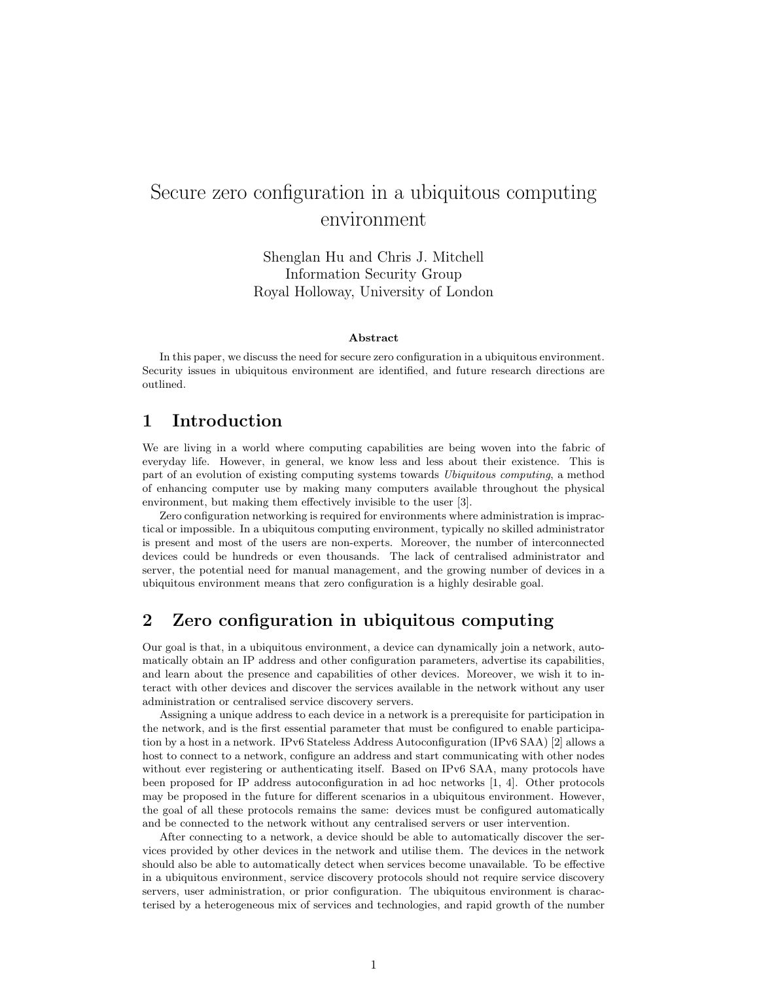# Secure zero configuration in a ubiquitous computing environment

Shenglan Hu and Chris J. Mitchell Information Security Group Royal Holloway, University of London

#### Abstract

In this paper, we discuss the need for secure zero configuration in a ubiquitous environment. Security issues in ubiquitous environment are identified, and future research directions are outlined.

# 1 Introduction

We are living in a world where computing capabilities are being woven into the fabric of everyday life. However, in general, we know less and less about their existence. This is part of an evolution of existing computing systems towards Ubiquitous computing, a method of enhancing computer use by making many computers available throughout the physical environment, but making them effectively invisible to the user [3].

Zero configuration networking is required for environments where administration is impractical or impossible. In a ubiquitous computing environment, typically no skilled administrator is present and most of the users are non-experts. Moreover, the number of interconnected devices could be hundreds or even thousands. The lack of centralised administrator and server, the potential need for manual management, and the growing number of devices in a ubiquitous environment means that zero configuration is a highly desirable goal.

# 2 Zero configuration in ubiquitous computing

Our goal is that, in a ubiquitous environment, a device can dynamically join a network, automatically obtain an IP address and other configuration parameters, advertise its capabilities, and learn about the presence and capabilities of other devices. Moreover, we wish it to interact with other devices and discover the services available in the network without any user administration or centralised service discovery servers.

Assigning a unique address to each device in a network is a prerequisite for participation in the network, and is the first essential parameter that must be configured to enable participation by a host in a network. IPv6 Stateless Address Autoconfiguration (IPv6 SAA) [2] allows a host to connect to a network, configure an address and start communicating with other nodes without ever registering or authenticating itself. Based on IPv6 SAA, many protocols have been proposed for IP address autoconfiguration in ad hoc networks [1, 4]. Other protocols may be proposed in the future for different scenarios in a ubiquitous environment. However, the goal of all these protocols remains the same: devices must be configured automatically and be connected to the network without any centralised servers or user intervention.

After connecting to a network, a device should be able to automatically discover the services provided by other devices in the network and utilise them. The devices in the network should also be able to automatically detect when services become unavailable. To be effective in a ubiquitous environment, service discovery protocols should not require service discovery servers, user administration, or prior configuration. The ubiquitous environment is characterised by a heterogeneous mix of services and technologies, and rapid growth of the number